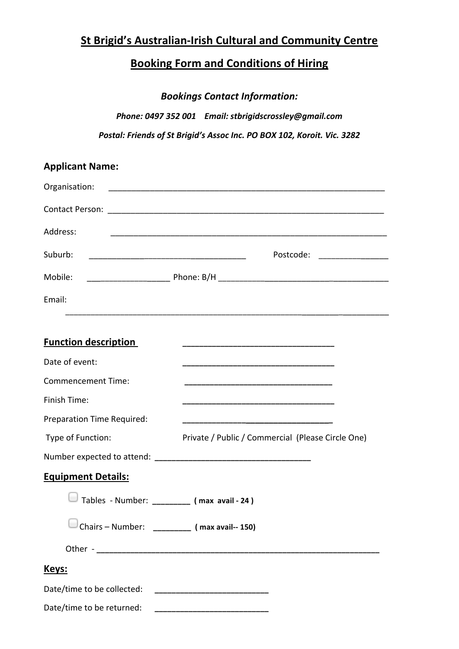# **St Brigid's Australian-Irish Cultural and Community Centre**

# **Booking Form and Conditions of Hiring**

*Bookings Contact Information:*

*Phone: 0497 352 001 Email: stbrigidscrossley@gmail.com* Postal: Friends of St Brigid's Assoc Inc. PO BOX 102, Koroit. Vic. 3282

| <b>Applicant Name:</b>                        |                                                   |
|-----------------------------------------------|---------------------------------------------------|
| Organisation:                                 |                                                   |
|                                               |                                                   |
| Address:                                      |                                                   |
| Suburb:                                       | Postcode: __________________                      |
| Mobile:                                       |                                                   |
| Email:                                        |                                                   |
|                                               |                                                   |
| <b>Function description</b>                   |                                                   |
| Date of event:                                |                                                   |
| <b>Commencement Time:</b>                     |                                                   |
| Finish Time:                                  |                                                   |
| Preparation Time Required:                    |                                                   |
| Type of Function:                             | Private / Public / Commercial (Please Circle One) |
|                                               |                                                   |
| <b>Equipment Details:</b>                     |                                                   |
| Tables - Number:                              | $(max \{ avail - 24)$                             |
| Chairs - Number: __________ (max avail-- 150) |                                                   |
|                                               |                                                   |
| Keys:                                         |                                                   |
| Date/time to be collected:                    |                                                   |
| Date/time to be returned:                     |                                                   |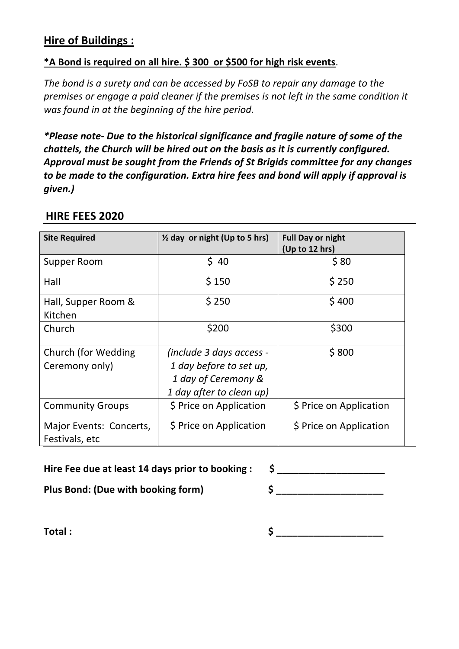# **Hire of Buildings:**

## **\*A Bond is required on all hire. \$ 300 or \$500 for high risk events.**

*The bond is a surety and can be accessed by FoSB to repair any damage to the premises or engage a paid cleaner if the premises is not left in the same condition it* was found in at the beginning of the hire period.

\*Please note- Due to the historical significance and fragile nature of some of the *chattels, the Church will be hired out on the basis as it is currently configured.* Approval must be sought from the Friends of St Brigids committee for any changes *to be made to the configuration. Extra hire fees and bond will apply if approval is given.)*

| <b>Site Required</b>                      | $\frac{1}{2}$ day or night (Up to 5 hrs)                                                               | <b>Full Day or night</b><br>(Up to 12 hrs) |
|-------------------------------------------|--------------------------------------------------------------------------------------------------------|--------------------------------------------|
| Supper Room                               | \$40                                                                                                   | \$80                                       |
| Hall                                      | \$150                                                                                                  | \$250                                      |
| Hall, Supper Room &<br>Kitchen            | \$250                                                                                                  | \$400                                      |
| Church                                    | \$200                                                                                                  | \$300                                      |
| Church (for Wedding<br>Ceremony only)     | (include 3 days access -<br>1 day before to set up,<br>1 day of Ceremony &<br>1 day after to clean up) | \$800                                      |
| <b>Community Groups</b>                   | \$ Price on Application                                                                                | \$ Price on Application                    |
| Major Events: Concerts,<br>Festivals, etc | \$ Price on Application                                                                                | \$ Price on Application                    |

# **HIRE FEES 2020**

Hire Fee due at least 14 days prior to booking : \$ \_\_\_\_\_\_\_\_\_\_\_\_\_\_\_\_\_\_\_\_\_\_\_\_\_\_\_\_\_

**Plus Bond: (Due with booking form)**  $\begin{array}{ccc} \text{S} & \text{S} \end{array}$ 

**Total : \$ \_\_\_\_\_\_\_\_\_\_\_\_\_\_\_\_\_\_\_\_**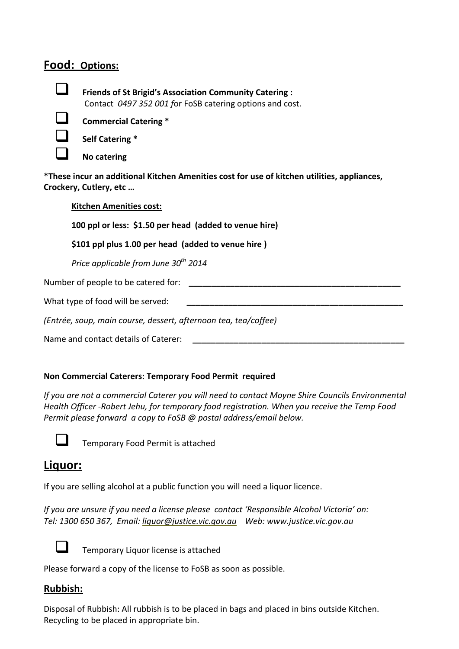## Food: Options:



**Example 1 Friends of St Brigid's Association Community Catering :** Contact 0497 352 001 for FoSB catering options and cost.



**Commercial Catering \*** 



! **No catering**

\*These incur an additional Kitchen Amenities cost for use of kitchen utilities, appliances, **Crockery, Cutlery, etc...** 

### **Kitchen Amenities cost:**

**100** ppl or less: \$1.50 per head (added to venue hire)

### \$101 ppl plus 1.00 per head (added to venue hire)

*Price applicable from June 30<sup>th</sup> 2014* 

Number of people to be catered for:

What type of food will be served:

*(Entrée, soup, main course, dessert, afternoon tea, tea/coffee)*

Name and contact details of Caterer:

#### **Non Commercial Caterers: Temporary Food Permit required**

*If* you are not a commercial Caterer you will need to contact Moyne Shire Councils Environmental Health Officer -Robert Jehu, for temporary food registration. When you receive the Temp Food *Permit please forward a copy to FoSB @ postal address/email below.* 



Temporary Food Permit is attached

# **Liquor:**

If you are selling alcohol at a public function you will need a liquor licence.

*If you are unsure if you need a license please contact 'Responsible Alcohol Victoria' on: Tel: 1300 650 367, Email: liquor@justice.vic.gov.au Web: www.justice.vic.gov.au*



Temporary Liquor license is attached

Please forward a copy of the license to FoSB as soon as possible.

## **Rubbish:**

Disposal of Rubbish: All rubbish is to be placed in bags and placed in bins outside Kitchen. Recycling to be placed in appropriate bin.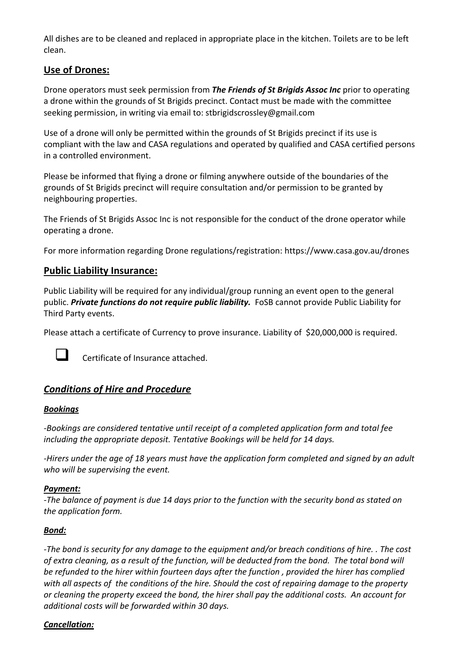All dishes are to be cleaned and replaced in appropriate place in the kitchen. Toilets are to be left clean. 

## Use of Drones:

Drone operators must seek permission from **The Friends of St Brigids Assoc Inc** prior to operating a drone within the grounds of St Brigids precinct. Contact must be made with the committee seeking permission, in writing via email to: stbrigidscrossley@gmail.com

Use of a drone will only be permitted within the grounds of St Brigids precinct if its use is compliant with the law and CASA regulations and operated by qualified and CASA certified persons in a controlled environment.

Please be informed that flying a drone or filming anywhere outside of the boundaries of the grounds of St Brigids precinct will require consultation and/or permission to be granted by neighbouring properties.

The Friends of St Brigids Assoc Inc is not responsible for the conduct of the drone operator while operating a drone.

For more information regarding Drone regulations/registration: https://www.casa.gov.au/drones

#### **Public Liability Insurance:**

Public Liability will be required for any individual/group running an event open to the general public. *Private functions do not require public liability*. FoSB cannot provide Public Liability for Third Party events.

Please attach a certificate of Currency to prove insurance. Liability of \$20,000,000 is required.



 $\Box$  Certificate of Insurance attached.

## *Conditions of Hire and Procedure*

#### *Bookings*

-Bookings are considered tentative until receipt of a completed application form and total fee *including the appropriate deposit. Tentative Bookings will be held for 14 days.* 

-Hirers under the age of 18 years must have the application form completed and signed by an adult who will be supervising the event.

#### *Payment:*

*-The balance of payment is due 14 days prior to the function with the security bond as stated on the application form.*

#### *Bond:*

*-The bond is security for any damage to the equipment and/or breach conditions of hire.* . The cost of extra cleaning, as a result of the function, will be deducted from the bond. The total bond will be refunded to the hirer within fourteen days after the function, provided the hirer has complied with all aspects of the conditions of the hire. Should the cost of repairing damage to the property or cleaning the property exceed the bond, the hirer shall pay the additional costs. An account for *additional costs will be forwarded within 30 days.*

#### *Cancellation:*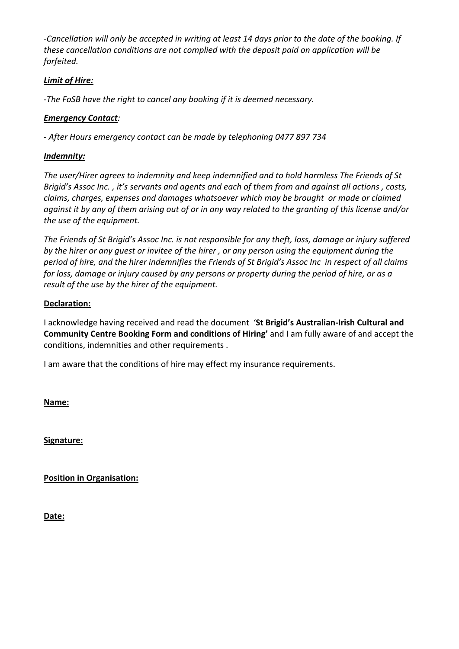*-Cancellation will only be accepted in writing at least 14 days prior to the date of the booking. If these cancellation conditions are not complied with the deposit paid on application will be forfeited.*

### **Limit of Hire:**

*-The FoSB have the right to cancel any booking if it is deemed necessary.* 

#### **Emergency Contact**:

*- After Hours emergency contact can be made by telephoning 0477 897 734*

#### *Indemnity:*

The user/Hirer agrees to indemnity and keep indemnified and to hold harmless The Friends of St *Brigid's* Assoc Inc., it's servants and agents and each of them from and against all actions, costs, *claims, charges, expenses and damages whatsoever which may be brought or made or claimed* against it by any of them arising out of or in any way related to the granting of this license and/or *the use of the equipment.* 

The Friends of St Brigid's Assoc Inc. is not responsible for any theft, loss, damage or injury suffered by the hirer or any guest or invitee of the hirer, or any person using the equipment during the *period of hire, and the hirer indemnifies the Friends of St Brigid's Assoc Inc in respect of all claims for loss, damage or injury caused by any persons or property during the period of hire, or as a result of the use by the hirer of the equipment.* 

#### **Declaration:**

I acknowledge having received and read the document **'St Brigid's Australian-Irish Cultural and Community Centre Booking Form and conditions of Hiring'** and I am fully aware of and accept the conditions, indemnities and other requirements .

I am aware that the conditions of hire may effect my insurance requirements.

**Name:**

**Signature:**

**Position in Organisation:** 

**Date:**